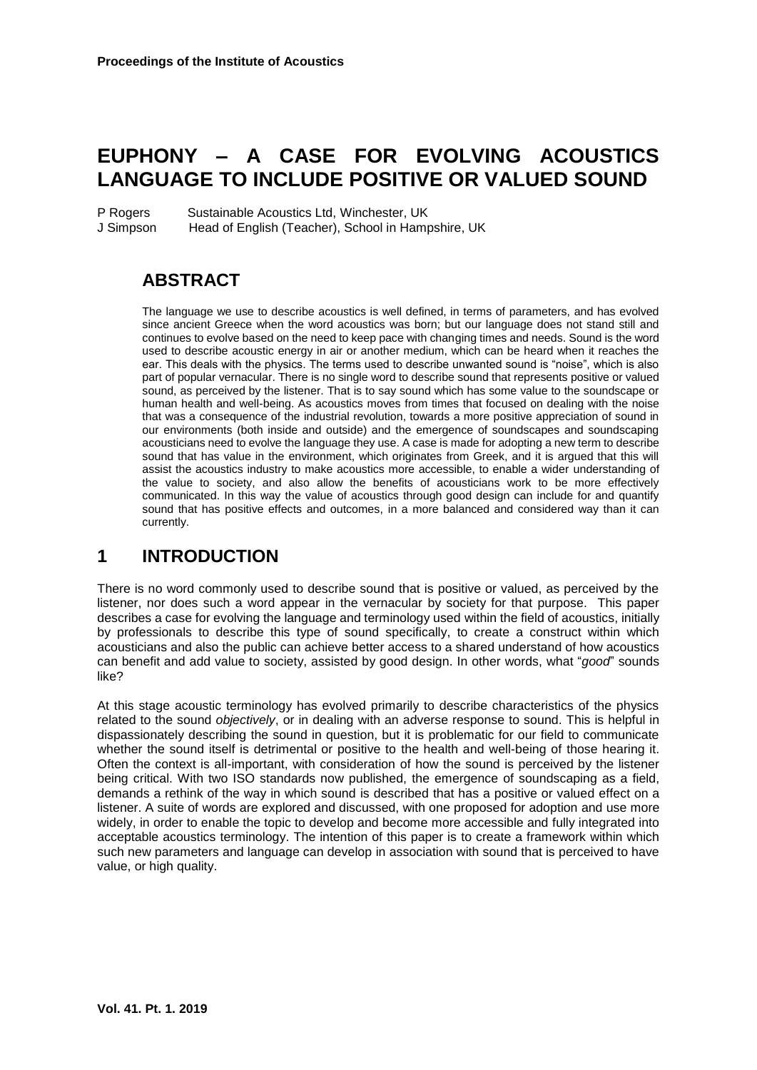# **EUPHONY – A CASE FOR EVOLVING ACOUSTICS LANGUAGE TO INCLUDE POSITIVE OR VALUED SOUND**

P Rogers Sustainable Acoustics Ltd, Winchester, UK J Simpson Head of English (Teacher), School in Hampshire, UK

# **ABSTRACT**

The language we use to describe acoustics is well defined, in terms of parameters, and has evolved since ancient Greece when the word acoustics was born; but our language does not stand still and continues to evolve based on the need to keep pace with changing times and needs. Sound is the word used to describe acoustic energy in air or another medium, which can be heard when it reaches the ear. This deals with the physics. The terms used to describe unwanted sound is "noise", which is also part of popular vernacular. There is no single word to describe sound that represents positive or valued sound, as perceived by the listener. That is to say sound which has some value to the soundscape or human health and well-being. As acoustics moves from times that focused on dealing with the noise that was a consequence of the industrial revolution, towards a more positive appreciation of sound in our environments (both inside and outside) and the emergence of soundscapes and soundscaping acousticians need to evolve the language they use. A case is made for adopting a new term to describe sound that has value in the environment, which originates from Greek, and it is argued that this will assist the acoustics industry to make acoustics more accessible, to enable a wider understanding of the value to society, and also allow the benefits of acousticians work to be more effectively communicated. In this way the value of acoustics through good design can include for and quantify sound that has positive effects and outcomes, in a more balanced and considered way than it can currently.

# **1 INTRODUCTION**

There is no word commonly used to describe sound that is positive or valued, as perceived by the listener, nor does such a word appear in the vernacular by society for that purpose. This paper describes a case for evolving the language and terminology used within the field of acoustics, initially by professionals to describe this type of sound specifically, to create a construct within which acousticians and also the public can achieve better access to a shared understand of how acoustics can benefit and add value to society, assisted by good design. In other words, what "*good*" sounds like?

At this stage acoustic terminology has evolved primarily to describe characteristics of the physics related to the sound *objectively*, or in dealing with an adverse response to sound. This is helpful in dispassionately describing the sound in question, but it is problematic for our field to communicate whether the sound itself is detrimental or positive to the health and well-being of those hearing it. Often the context is all-important, with consideration of how the sound is perceived by the listener being critical. With two ISO standards now published, the emergence of soundscaping as a field, demands a rethink of the way in which sound is described that has a positive or valued effect on a listener. A suite of words are explored and discussed, with one proposed for adoption and use more widely, in order to enable the topic to develop and become more accessible and fully integrated into acceptable acoustics terminology. The intention of this paper is to create a framework within which such new parameters and language can develop in association with sound that is perceived to have value, or high quality.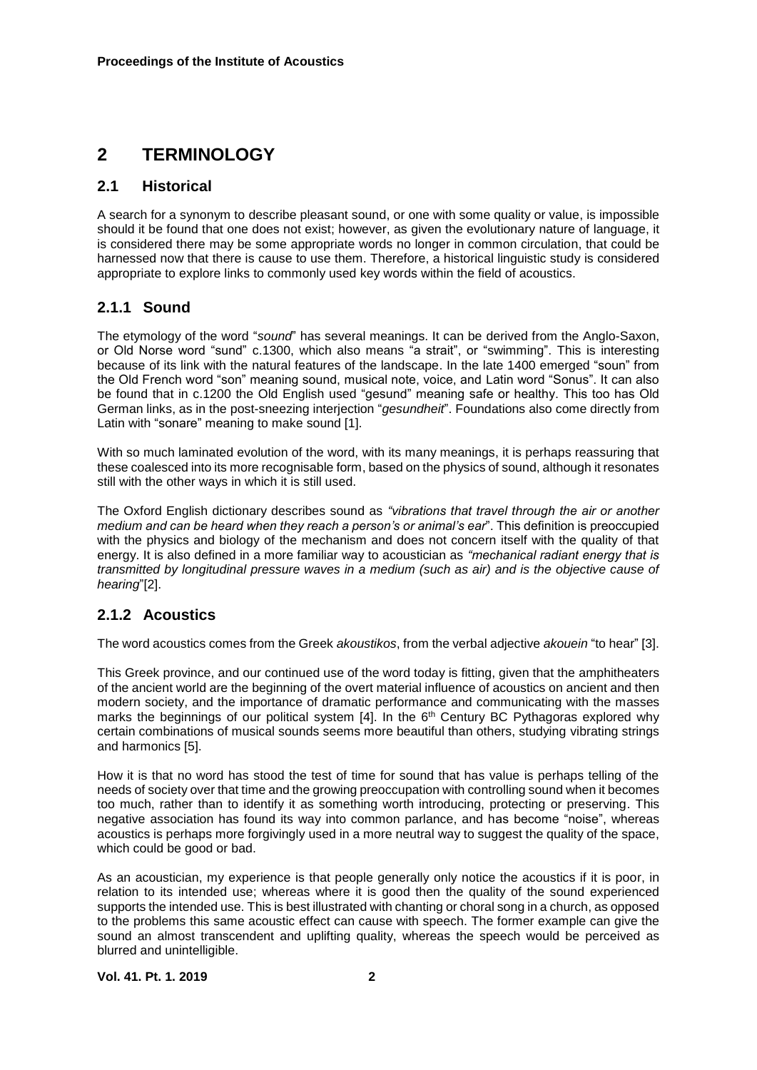# **2 TERMINOLOGY**

#### **2.1 Historical**

A search for a synonym to describe pleasant sound, or one with some quality or value, is impossible should it be found that one does not exist; however, as given the evolutionary nature of language, it is considered there may be some appropriate words no longer in common circulation, that could be harnessed now that there is cause to use them. Therefore, a historical linguistic study is considered appropriate to explore links to commonly used key words within the field of acoustics.

### **2.1.1 Sound**

The etymology of the word "*sound*" has several meanings. It can be derived from the Anglo-Saxon, or Old Norse word "sund" c.1300, which also means "a strait", or "swimming". This is interesting because of its link with the natural features of the landscape. In the late 1400 emerged "soun" from the Old French word "son" meaning sound, musical note, voice, and Latin word "Sonus". It can also be found that in c.1200 the Old English used "gesund" meaning safe or healthy. This too has Old German links, as in the post-sneezing interjection "*gesundheit*". Foundations also come directly from Latin with "sonare" meaning to make sound [1].

With so much laminated evolution of the word, with its many meanings, it is perhaps reassuring that these coalesced into its more recognisable form, based on the physics of sound, although it resonates still with the other ways in which it is still used.

The Oxford English dictionary describes sound as *"vibrations that travel through the air or another medium and can be heard when they reach a person's or animal's ear*". This definition is preoccupied with the physics and biology of the mechanism and does not concern itself with the quality of that energy. It is also defined in a more familiar way to acoustician as *"mechanical radiant energy that is transmitted by longitudinal pressure waves in a medium (such as air) and is the objective cause of hearing*"[2].

## **2.1.2 Acoustics**

The word acoustics comes from the Greek *akoustikos*, from the verbal adjective *akouein* "to hear" [3].

This Greek province, and our continued use of the word today is fitting, given that the amphitheaters of the ancient world are the beginning of the overt material influence of acoustics on ancient and then modern society, and the importance of dramatic performance and communicating with the masses marks the beginnings of our political system  $[4]$ . In the  $6<sup>th</sup>$  Century BC Pythagoras explored why certain combinations of musical sounds seems more beautiful than others, studying vibrating strings and harmonics [5].

How it is that no word has stood the test of time for sound that has value is perhaps telling of the needs of society over that time and the growing preoccupation with controlling sound when it becomes too much, rather than to identify it as something worth introducing, protecting or preserving. This negative association has found its way into common parlance, and has become "noise", whereas acoustics is perhaps more forgivingly used in a more neutral way to suggest the quality of the space, which could be good or bad.

As an acoustician, my experience is that people generally only notice the acoustics if it is poor, in relation to its intended use; whereas where it is good then the quality of the sound experienced supports the intended use. This is best illustrated with chanting or choral song in a church, as opposed to the problems this same acoustic effect can cause with speech. The former example can give the sound an almost transcendent and uplifting quality, whereas the speech would be perceived as blurred and unintelligible.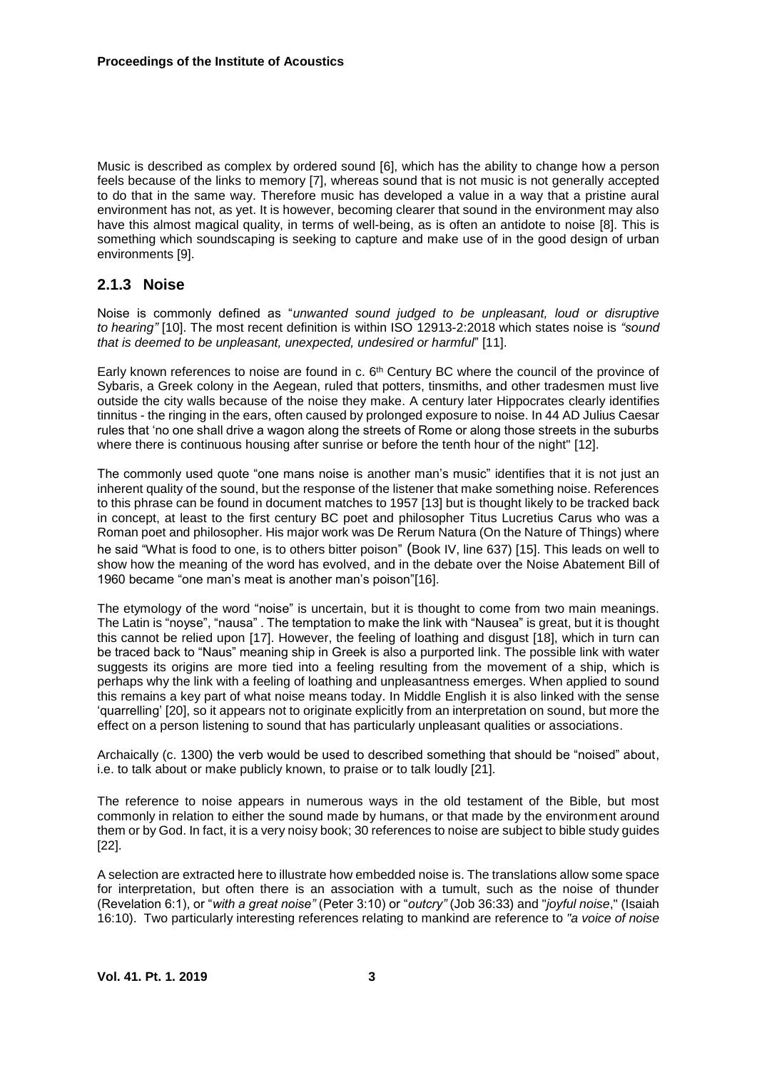Music is described as complex by ordered sound [6], which has the ability to change how a person feels because of the links to memory [7], whereas sound that is not music is not generally accepted to do that in the same way. Therefore music has developed a value in a way that a pristine aural environment has not, as yet. It is however, becoming clearer that sound in the environment may also have this almost magical quality, in terms of well-being, as is often an antidote to noise [8]. This is something which soundscaping is seeking to capture and make use of in the good design of urban environments [9].

#### **2.1.3 Noise**

Noise is commonly defined as "*unwanted sound judged to be unpleasant, loud or disruptive to hearing"* [10]. The most recent definition is within ISO 12913-2:2018 which states noise is *"sound that is deemed to be unpleasant, unexpected, undesired or harmful*" [11].

Early known references to noise are found in c.  $6<sup>th</sup>$  Century BC where the council of the province of Sybaris, a Greek colony in the Aegean, ruled that potters, tinsmiths, and other tradesmen must live outside the city walls because of the noise they make. A century later Hippocrates clearly identifies tinnitus - the ringing in the ears, often caused by prolonged exposure to noise. In 44 AD Julius Caesar rules that 'no one shall drive a wagon along the streets of Rome or along those streets in the suburbs where there is continuous housing after sunrise or before the tenth hour of the night" [12].

The commonly used quote "one mans noise is another man's music" identifies that it is not just an inherent quality of the sound, but the response of the listener that make something noise. References to this phrase can be found in document matches to 1957 [13] but is thought likely to be tracked back in concept, at least to the first century BC poet and philosopher Titus Lucretius Carus who was a Roman poet and philosopher. His major work was De Rerum Natura (On the Nature of Things) where he said "What is food to one, is to others bitter poison" (Book IV, line 637) [15]. This leads on well to show how the meaning of the word has evolved, and in the debate over the Noise Abatement Bill of 1960 became "one man's meat is another man's poison"[16].

The etymology of the word "noise" is uncertain, but it is thought to come from two main meanings. The Latin is "noyse", "nausa" . The temptation to make the link with "Nausea" is great, but it is thought this cannot be relied upon [17]. However, the feeling of loathing and disgust [18], which in turn can be traced back to "Naus" meaning ship in Greek is also a purported link. The possible link with water suggests its origins are more tied into a feeling resulting from the movement of a ship, which is perhaps why the link with a feeling of loathing and unpleasantness emerges. When applied to sound this remains a key part of what noise means today. In Middle English it is also linked with the sense 'quarrelling' [20], so it appears not to originate explicitly from an interpretation on sound, but more the effect on a person listening to sound that has particularly unpleasant qualities or associations.

Archaically (c. 1300) the verb would be used to described something that should be "noised" about, i.e. to talk about or make publicly known, to praise or to talk loudly [21].

The reference to noise appears in numerous ways in the old testament of the Bible, but most commonly in relation to either the sound made by humans, or that made by the environment around them or by God. In fact, it is a very noisy book; 30 references to noise are subject to bible study guides [22].

A selection are extracted here to illustrate how embedded noise is. The translations allow some space for interpretation, but often there is an association with a tumult, such as the noise of thunder (Revelation 6:1), or "*with a great noise"* (Peter 3:10) or "*outcry"* (Job 36:33) and "*joyful noise*," (Isaiah 16:10). Two particularly interesting references relating to mankind are reference to *"a voice of noise*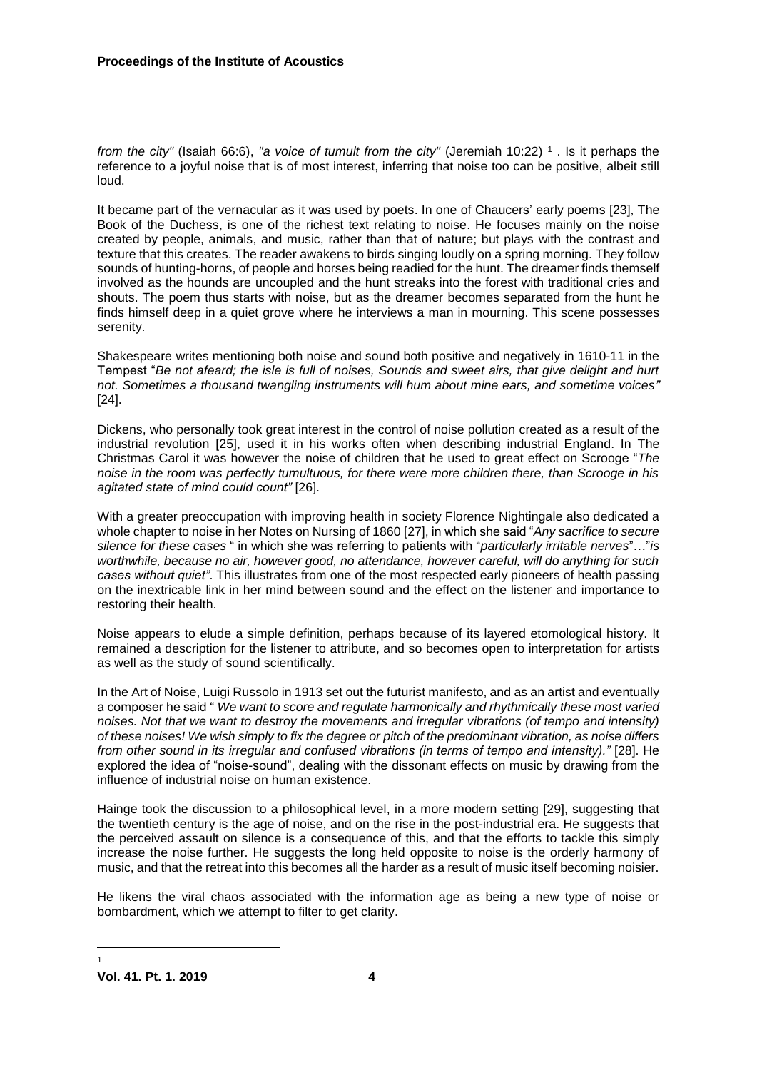*from the city"* [\(Isaiah 66:6\)](https://www.biblestudytools.com/search/?q=isa+66:6), *"a voice of tumult from the city"* [\(Jeremiah 10:22\)](https://www.biblestudytools.com/search/?q=jer+10:22) 1 . Is it perhaps the reference to a joyful noise that is of most interest, inferring that noise too can be positive, albeit still loud.

It became part of the vernacular as it was used by poets. In one of Chaucers' early poems [23], The Book of the Duchess, is one of the richest text relating to noise. He focuses mainly on the noise created by people, animals, and music, rather than that of nature; but plays with the contrast and texture that this creates. The reader awakens to birds singing loudly on a spring morning. They follow sounds of hunting-horns, of people and horses being readied for the hunt. The dreamer finds themself involved as the hounds are uncoupled and the hunt streaks into the forest with traditional cries and shouts. The poem thus starts with noise, but as the dreamer becomes separated from the hunt he finds himself deep in a quiet grove where he interviews a man in mourning. This scene possesses serenity.

Shakespeare writes mentioning both noise and sound both positive and negatively in 1610-11 in the Tempest "*Be not afeard; the isle is full of noises, Sounds and sweet airs, that give delight and hurt not. Sometimes a thousand twangling instruments will hum about mine ears, and sometime voices"* [24].

Dickens, who personally took great interest in the control of noise pollution created as a result of the industrial revolution [25], used it in his works often when describing industrial England. In The Christmas Carol it was however the noise of children that he used to great effect on Scrooge "*The noise in the room was perfectly tumultuous, for there were more children there, than Scrooge in his agitated state of mind could count"* [26].

With a greater preoccupation with improving health in society Florence Nightingale also dedicated a whole chapter to noise in her Notes on Nursing of 1860 [27], in which she said "*Any sacrifice to secure silence for these cases* " in which she was referring to patients with "*particularly irritable nerves*"…"*is worthwhile, because no air, however good, no attendance, however careful, will do anything for such cases without quiet"*. This illustrates from one of the most respected early pioneers of health passing on the inextricable link in her mind between sound and the effect on the listener and importance to restoring their health.

Noise appears to elude a simple definition, perhaps because of its layered etomological history. It remained a description for the listener to attribute, and so becomes open to interpretation for artists as well as the study of sound scientifically.

In the Art of Noise, Luigi Russolo in 1913 set out the futurist manifesto, and as an artist and eventually a composer he said " *We want to score and regulate harmonically and rhythmically these most varied noises. Not that we want to destroy the movements and irregular vibrations (of tempo and intensity) of these noises! We wish simply to fix the degree or pitch of the predominant vibration, as noise differs from other sound in its irregular and confused vibrations (in terms of tempo and intensity)."* [28]. He explored the idea of "noise-sound", dealing with the dissonant effects on music by drawing from the influence of industrial noise on human existence.

Hainge took the discussion to a philosophical level, in a more modern setting [29], suggesting that the twentieth century is the age of noise, and on the rise in the post-industrial era. He suggests that the perceived assault on silence is a consequence of this, and that the efforts to tackle this simply increase the noise further. He suggests the long held opposite to noise is the orderly harmony of music, and that the retreat into this becomes all the harder as a result of music itself becoming noisier.

He likens the viral chaos associated with the information age as being a new type of noise or bombardment, which we attempt to filter to get clarity.

 $\overline{a}$ 1

**Vol. 41. Pt. 1. 2019 4**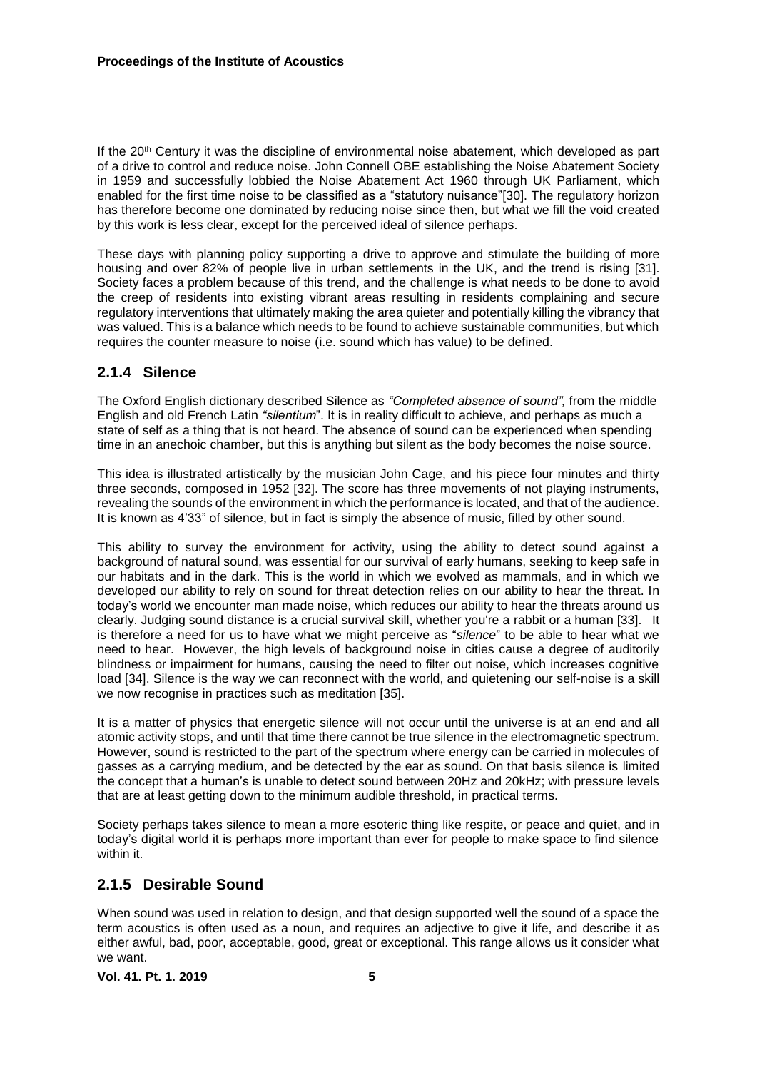If the 20<sup>th</sup> Century it was the discipline of environmental noise abatement, which developed as part of a drive to control and reduce noise. John Connell OBE establishing the Noise Abatement Society in 1959 and successfully lobbied the Noise Abatement Act 1960 through UK Parliament, which enabled for the first time noise to be classified as a "statutory nuisance"[30]. The regulatory horizon has therefore become one dominated by reducing noise since then, but what we fill the void created by this work is less clear, except for the perceived ideal of silence perhaps.

These days with planning policy supporting a drive to approve and stimulate the building of more housing and over 82% of people live in urban settlements in the UK, and the trend is rising [31]. Society faces a problem because of this trend, and the challenge is what needs to be done to avoid the creep of residents into existing vibrant areas resulting in residents complaining and secure regulatory interventions that ultimately making the area quieter and potentially killing the vibrancy that was valued. This is a balance which needs to be found to achieve sustainable communities, but which requires the counter measure to noise (i.e. sound which has value) to be defined.

### **2.1.4 Silence**

The Oxford English dictionary described Silence as *"Completed absence of sound",* from the middle English and old French Latin *"silentium*". It is in reality difficult to achieve, and perhaps as much a state of self as a thing that is not heard. The absence of sound can be experienced when spending time in an anechoic chamber, but this is anything but silent as the body becomes the noise source.

This idea is illustrated artistically by the musician John Cage, and his piece four minutes and thirty three seconds, composed in 1952 [32]. The score has three movements of not playing instruments, revealing the sounds of the environment in which the performance is located, and that of the audience. It is known as 4'33" of silence, but in fact is simply the absence of music, filled by other sound.

This ability to survey the environment for activity, using the ability to detect sound against a background of natural sound, was essential for our survival of early humans, seeking to keep safe in our habitats and in the dark. This is the world in which we evolved as mammals, and in which we developed our ability to rely on sound for threat detection relies on our ability to hear the threat. In today's world we encounter man made noise, which reduces our ability to hear the threats around us clearly. Judging sound distance is a crucial survival skill, whether you're a rabbit or a human [33]. It is therefore a need for us to have what we might perceive as "*silence*" to be able to hear what we need to hear. However, the high levels of background noise in cities cause a degree of auditorily blindness or impairment for humans, causing the need to filter out noise, which increases cognitive load [34]. Silence is the way we can reconnect with the world, and quietening our self-noise is a skill we now recognise in practices such as meditation [35].

It is a matter of physics that energetic silence will not occur until the universe is at an end and all atomic activity stops, and until that time there cannot be true silence in the electromagnetic spectrum. However, sound is restricted to the part of the spectrum where energy can be carried in molecules of gasses as a carrying medium, and be detected by the ear as sound. On that basis silence is limited the concept that a human's is unable to detect sound between 20Hz and 20kHz; with pressure levels that are at least getting down to the minimum audible threshold, in practical terms.

Society perhaps takes silence to mean a more esoteric thing like respite, or peace and quiet, and in today's digital world it is perhaps more important than ever for people to make space to find silence within it.

## **2.1.5 Desirable Sound**

When sound was used in relation to design, and that design supported well the sound of a space the term acoustics is often used as a noun, and requires an adjective to give it life, and describe it as either awful, bad, poor, acceptable, good, great or exceptional. This range allows us it consider what we want.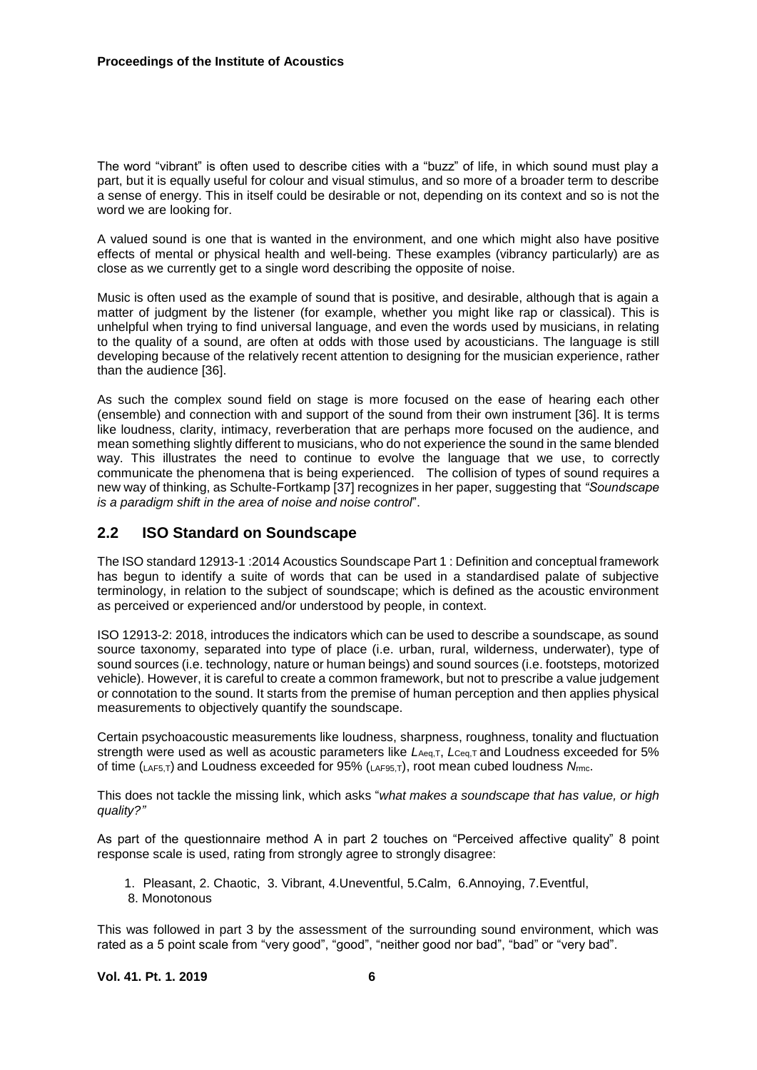The word "vibrant" is often used to describe cities with a "buzz" of life, in which sound must play a part, but it is equally useful for colour and visual stimulus, and so more of a broader term to describe a sense of energy. This in itself could be desirable or not, depending on its context and so is not the word we are looking for.

A valued sound is one that is wanted in the environment, and one which might also have positive effects of mental or physical health and well-being. These examples (vibrancy particularly) are as close as we currently get to a single word describing the opposite of noise.

Music is often used as the example of sound that is positive, and desirable, although that is again a matter of judgment by the listener (for example, whether you might like rap or classical). This is unhelpful when trying to find universal language, and even the words used by musicians, in relating to the quality of a sound, are often at odds with those used by acousticians. The language is still developing because of the relatively recent attention to designing for the musician experience, rather than the audience [36].

As such the complex sound field on stage is more focused on the ease of hearing each other (ensemble) and connection with and support of the sound from their own instrument [36]. It is terms like loudness, clarity, intimacy, reverberation that are perhaps more focused on the audience, and mean something slightly different to musicians, who do not experience the sound in the same blended way. This illustrates the need to continue to evolve the language that we use, to correctly communicate the phenomena that is being experienced. The collision of types of sound requires a new way of thinking, as Schulte-Fortkamp [37] recognizes in her paper, suggesting that *"Soundscape is a paradigm shift in the area of noise and noise control*".

#### **2.2 ISO Standard on Soundscape**

The ISO standard 12913-1 :2014 Acoustics Soundscape Part 1 : Definition and conceptual framework has begun to identify a suite of words that can be used in a standardised palate of subjective terminology, in relation to the subject of soundscape; which is defined as the acoustic environment as perceived or experienced and/or understood by people, in context.

ISO 12913-2: 2018, introduces the indicators which can be used to describe a soundscape, as sound source taxonomy, separated into type of place (i.e. urban, rural, wilderness, underwater), type of sound sources (i.e. technology, nature or human beings) and sound sources (i.e. footsteps, motorized vehicle). However, it is careful to create a common framework, but not to prescribe a value judgement or connotation to the sound. It starts from the premise of human perception and then applies physical measurements to objectively quantify the soundscape.

Certain psychoacoustic measurements like loudness, sharpness, roughness, tonality and fluctuation strength were used as well as acoustic parameters like *L*Aeq,T, *L*Ceq,T and Loudness exceeded for 5% of time (LAF5,T) and Loudness exceeded for 95% (LAF95,T), root mean cubed loudness *N*rmc.

This does not tackle the missing link, which asks "*what makes a soundscape that has value, or high quality?"*

As part of the questionnaire method A in part 2 touches on "Perceived affective quality" 8 point response scale is used, rating from strongly agree to strongly disagree:

1. Pleasant, 2. Chaotic, 3. Vibrant, 4.Uneventful, 5.Calm, 6.Annoying, 7.Eventful, 8. Monotonous

This was followed in part 3 by the assessment of the surrounding sound environment, which was rated as a 5 point scale from "very good", "good", "neither good nor bad", "bad" or "very bad".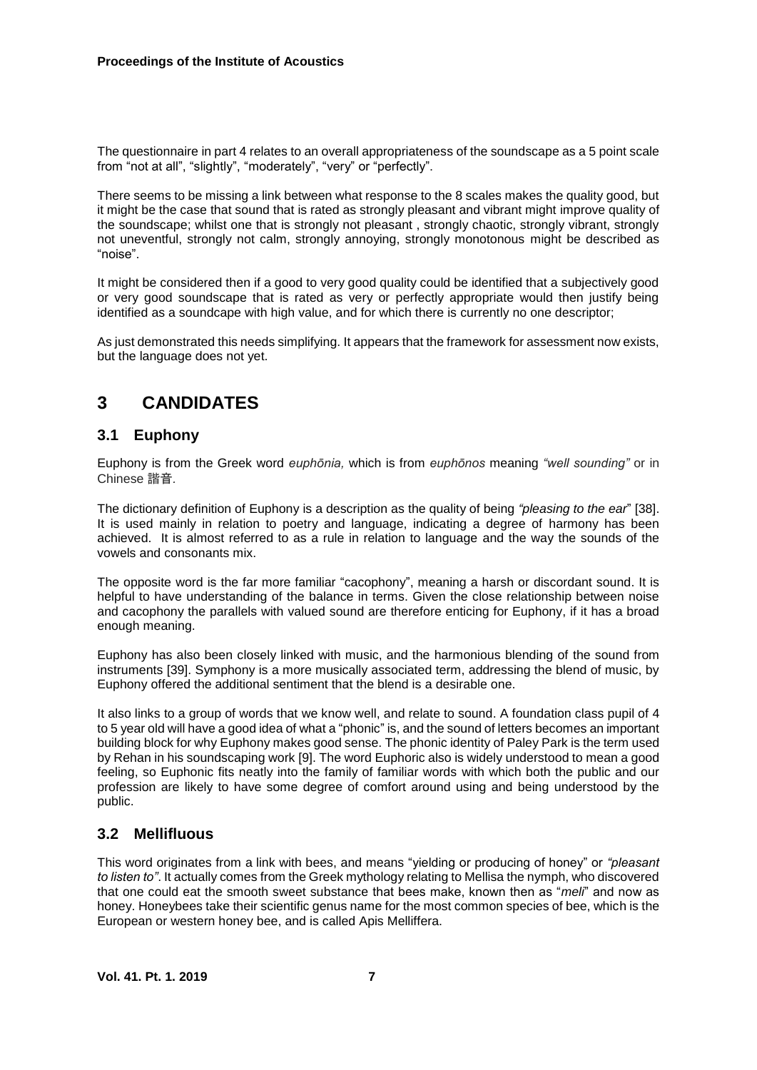The questionnaire in part 4 relates to an overall appropriateness of the soundscape as a 5 point scale from "not at all", "slightly", "moderately", "very" or "perfectly".

There seems to be missing a link between what response to the 8 scales makes the quality good, but it might be the case that sound that is rated as strongly pleasant and vibrant might improve quality of the soundscape; whilst one that is strongly not pleasant , strongly chaotic, strongly vibrant, strongly not uneventful, strongly not calm, strongly annoying, strongly monotonous might be described as "noise".

It might be considered then if a good to very good quality could be identified that a subjectively good or very good soundscape that is rated as very or perfectly appropriate would then justify being identified as a soundcape with high value, and for which there is currently no one descriptor;

As just demonstrated this needs simplifying. It appears that the framework for assessment now exists, but the language does not yet.

# **3 CANDIDATES**

#### **3.1 Euphony**

Euphony is from the Greek word *euphōnia,* which is from *euphōnos* meaning *"well sounding"* or in Chinese 諧音*.*

The dictionary definition of Euphony is a description as the quality of being *"pleasing to the ear*" [38]. It is used mainly in relation to poetry and language, indicating a degree of harmony has been achieved. It is almost referred to as a rule in relation to language and the way the sounds of the vowels and consonants mix.

The opposite word is the far more familiar "cacophony", meaning a harsh or discordant sound. It is helpful to have understanding of the balance in terms. Given the close relationship between noise and cacophony the parallels with valued sound are therefore enticing for Euphony, if it has a broad enough meaning.

Euphony has also been closely linked with music, and the harmonious blending of the sound from instruments [39]. Symphony is a more musically associated term, addressing the blend of music, by Euphony offered the additional sentiment that the blend is a desirable one.

It also links to a group of words that we know well, and relate to sound. A foundation class pupil of 4 to 5 year old will have a good idea of what a "phonic" is, and the sound of letters becomes an important building block for why Euphony makes good sense. The phonic identity of Paley Park is the term used by Rehan in his soundscaping work [9]. The word Euphoric also is widely understood to mean a good feeling, so Euphonic fits neatly into the family of familiar words with which both the public and our profession are likely to have some degree of comfort around using and being understood by the public.

## **3.2 Mellifluous**

This word originates from a link with bees, and means "yielding or producing of honey" or *"pleasant to listen to"*. It actually comes from the Greek mythology relating to Mellisa the nymph, who discovered that one could eat the smooth sweet substance that bees make, known then as "*meli*" and now as honey. Honeybees take their scientific genus name for the most common species of bee, which is the European or western honey bee, and is called Apis Melliffera.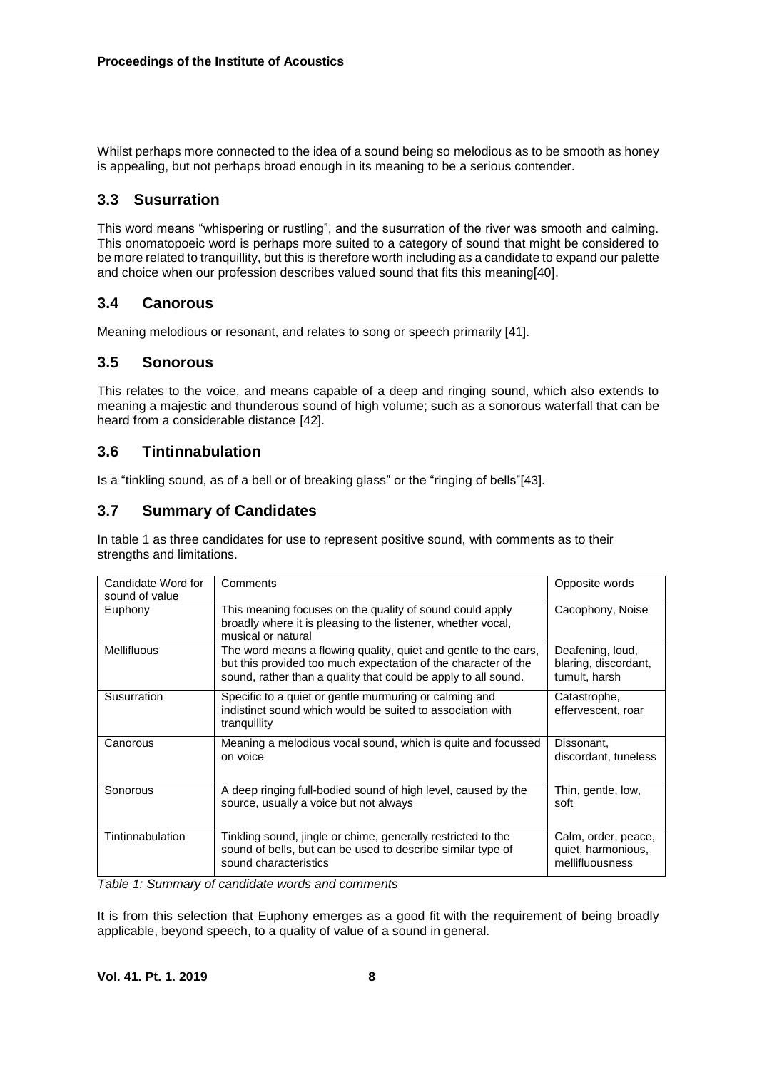Whilst perhaps more connected to the idea of a sound being so melodious as to be smooth as honey is appealing, but not perhaps broad enough in its meaning to be a serious contender.

#### **3.3 Susurration**

This word means "whispering or rustling", and the susurration of the river was smooth and calming. This onomatopoeic word is perhaps more suited to a category of sound that might be considered to be more related to tranquillity, but this is therefore worth including as a candidate to expand our palette and choice when our profession describes valued sound that fits this meaning[40].

#### **3.4 Canorous**

Meaning melodious or resonant, and relates to song or speech primarily [41].

#### **3.5 Sonorous**

This relates to the voice, and means capable of a deep and ringing sound, which also extends to meaning a majestic and thunderous sound of high volume; such as a sonorous waterfall that can be heard from a considerable distance [42].

#### **3.6 Tintinnabulation**

Is a "tinkling sound, as of a bell or of breaking glass" or the "ringing of bells"[43].

#### **3.7 Summary of Candidates**

In table 1 as three candidates for use to represent positive sound, with comments as to their strengths and limitations.

| Candidate Word for<br>sound of value | Comments                                                                                                                                                                                            | Opposite words                                               |
|--------------------------------------|-----------------------------------------------------------------------------------------------------------------------------------------------------------------------------------------------------|--------------------------------------------------------------|
| Euphony                              | This meaning focuses on the quality of sound could apply<br>broadly where it is pleasing to the listener, whether vocal,<br>musical or natural                                                      | Cacophony, Noise                                             |
| <b>Mellifluous</b>                   | The word means a flowing quality, quiet and gentle to the ears,<br>but this provided too much expectation of the character of the<br>sound, rather than a quality that could be apply to all sound. | Deafening, loud,<br>blaring, discordant,<br>tumult, harsh    |
| Susurration                          | Specific to a quiet or gentle murmuring or calming and<br>indistinct sound which would be suited to association with<br>tranguillity                                                                | Catastrophe,<br>effervescent, roar                           |
| Canorous                             | Meaning a melodious vocal sound, which is quite and focussed<br>on voice                                                                                                                            | Dissonant,<br>discordant, tuneless                           |
| Sonorous                             | A deep ringing full-bodied sound of high level, caused by the<br>source, usually a voice but not always                                                                                             | Thin, gentle, low,<br>soft                                   |
| Tintinnabulation                     | Tinkling sound, jingle or chime, generally restricted to the<br>sound of bells, but can be used to describe similar type of<br>sound characteristics                                                | Calm, order, peace,<br>quiet, harmonious,<br>mellifluousness |

*Table 1: Summary of candidate words and comments*

It is from this selection that Euphony emerges as a good fit with the requirement of being broadly applicable, beyond speech, to a quality of value of a sound in general.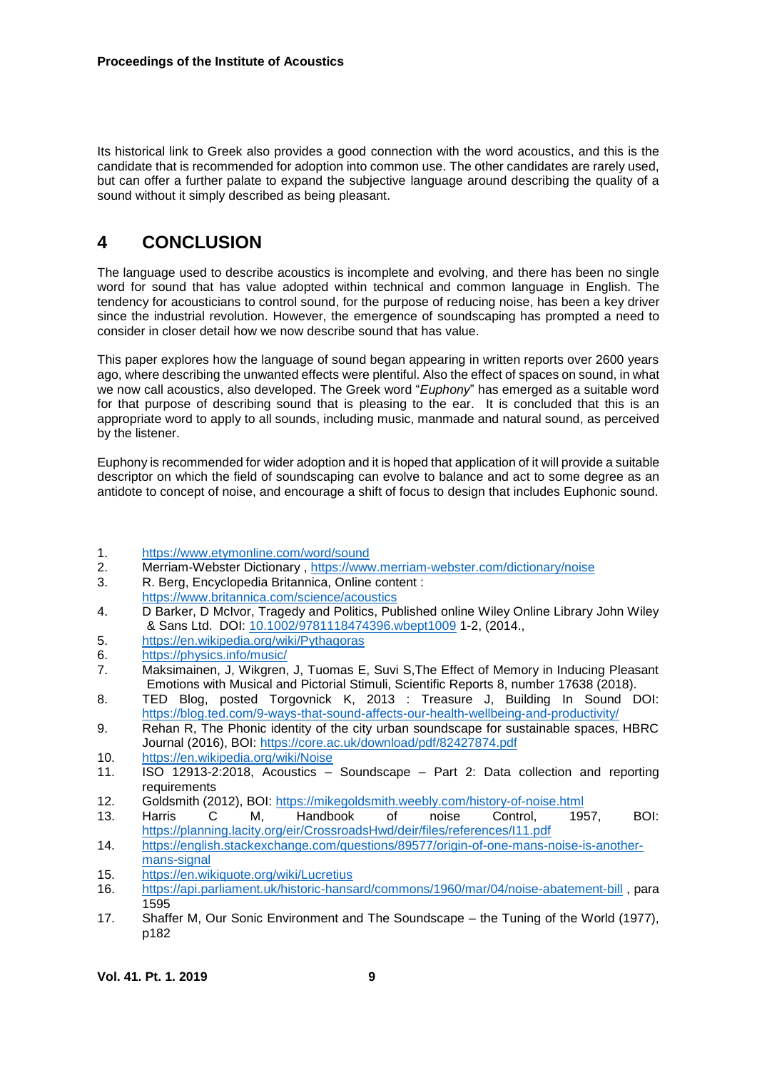Its historical link to Greek also provides a good connection with the word acoustics, and this is the candidate that is recommended for adoption into common use. The other candidates are rarely used, but can offer a further palate to expand the subjective language around describing the quality of a sound without it simply described as being pleasant.

# **4 CONCLUSION**

The language used to describe acoustics is incomplete and evolving, and there has been no single word for sound that has value adopted within technical and common language in English. The tendency for acousticians to control sound, for the purpose of reducing noise, has been a key driver since the industrial revolution. However, the emergence of soundscaping has prompted a need to consider in closer detail how we now describe sound that has value.

This paper explores how the language of sound began appearing in written reports over 2600 years ago, where describing the unwanted effects were plentiful. Also the effect of spaces on sound, in what we now call acoustics, also developed. The Greek word "*Euphony*" has emerged as a suitable word for that purpose of describing sound that is pleasing to the ear. It is concluded that this is an appropriate word to apply to all sounds, including music, manmade and natural sound, as perceived by the listener.

Euphony is recommended for wider adoption and it is hoped that application of it will provide a suitable descriptor on which the field of soundscaping can evolve to balance and act to some degree as an antidote to concept of noise, and encourage a shift of focus to design that includes Euphonic sound.

- 1. <https://www.etymonline.com/word/sound><br>2 Merriam-Webster Dictionary https://www
- Merriam-Webster Dictionary, https://www.merriam-webster.com/dictionary/noise
- 3. R. Berg, Encyclopedia Britannica, Online content : <https://www.britannica.com/science/acoustics>
- 4. D Barker, D McIvor, Tragedy and Politics, Published online Wiley Online Library John Wiley & Sans Ltd. DOI: [10.1002/9781118474396.wbept1009](https://doi.org/10.1002/9781118474396.wbept1009) 1-2, (2014.,
- 5. <https://en.wikipedia.org/wiki/Pythagoras>
- 6. <https://physics.info/music/>
- 7. Maksimainen, J, Wikgren, J, Tuomas E, Suvi S,The Effect of Memory in Inducing Pleasant Emotions with Musical and Pictorial Stimuli, Scientific Reports 8, number 17638 (2018).
- 8. TED Blog, posted Torgovnick K, 2013 : Treasure J, Building In Sound DOI: <https://blog.ted.com/9-ways-that-sound-affects-our-health-wellbeing-and-productivity/>
- 9. Rehan R, The Phonic identity of the city urban soundscape for sustainable spaces, HBRC Journal (2016), BOI:<https://core.ac.uk/download/pdf/82427874.pdf>
- 10. <https://en.wikipedia.org/wiki/Noise>
- 11. ISO 12913-2:2018, Acoustics Soundscape Part 2: Data collection and reporting requirements
- 12. Goldsmith (2012), BOI:<https://mikegoldsmith.weebly.com/history-of-noise.html>
- 13. Harris C M, Handbook of noise Control, 1957, BOI: <https://planning.lacity.org/eir/CrossroadsHwd/deir/files/references/I11.pdf>
- 14. [https://english.stackexchange.com/questions/89577/origin-of-one-mans-noise-is-another](https://english.stackexchange.com/questions/89577/origin-of-one-mans-noise-is-another-mans-signal)[mans-signal](https://english.stackexchange.com/questions/89577/origin-of-one-mans-noise-is-another-mans-signal)
- 15. <https://en.wikiquote.org/wiki/Lucretius>
- 16. <https://api.parliament.uk/historic-hansard/commons/1960/mar/04/noise-abatement-bill> , para 1595
- 17. Shaffer M, Our Sonic Environment and The Soundscape the Tuning of the World (1977), p182